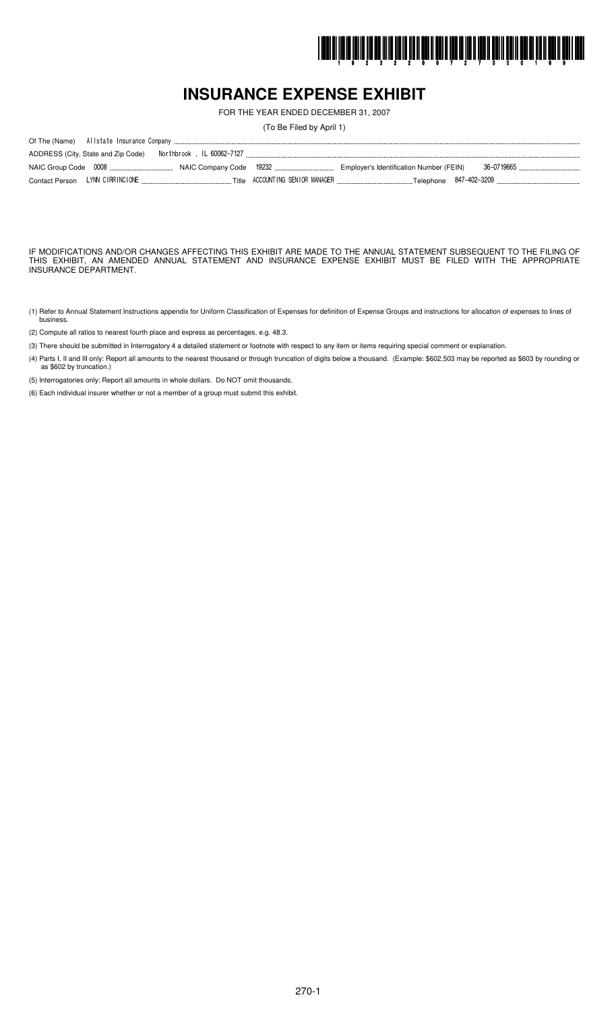

## **INSURANCE EXPENSE EXHIBIT**

FOR THE YEAR ENDED DECEMBER 31, 2007

(To Be Filed by April 1)

IF MODIFICATIONS AND/OR CHANGES AFFECTING THIS EXHIBIT ARE MADE TO THE ANNUAL STATEMENT SUBSEQUENT TO THE FILING OF THIS EXHIBIT, AN AMENDED ANNUAL STATEMENT AND INSURANCE EXPENSE EXHIBIT MUST BE FILED WITH THE APPROPRIATE INSURANCE DEPARTMENT.

- (1) Refer to Annual Statement Instructions appendix for Uniform Classification of Expenses for definition of Expense Groups and instructions for allocation of expenses to lines of busines.
- (2) Compute all ratios to nearest fourth place and express as percentages, e.g. 48.3.
- (3) There should be submitted in Interrogatory 4 a detailed statement or footnote with respect to any item or items requiring special comment or explanation.
- (4) Parts I, II and III only: Report all amounts to the nearest thousand or through truncation of digits below a thousand. (Example: \$602,503 may be reported as \$603 by rounding or as \$602 by truncation.)

(5) Interrogatories only: Report all amounts in whole dollars. Do NOT omit thousands.

(6) Each individual insurer whether or not a member of a group must submit this exhibit.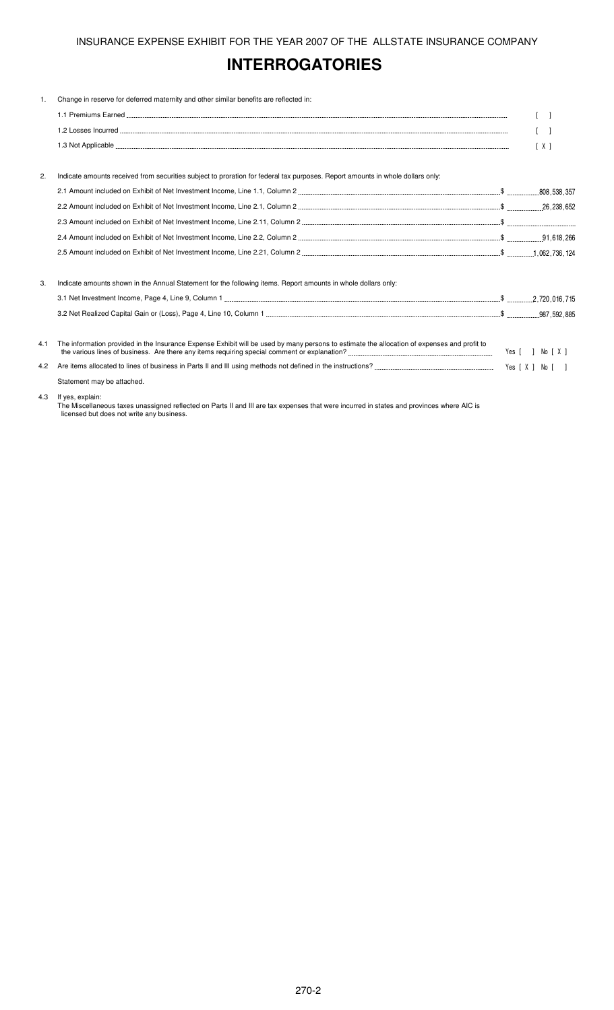# **INTERROGATORIES**

| $\mathbf{1}$ . | Change in reserve for deferred maternity and other similar benefits are reflected in:                                                       |                  |
|----------------|---------------------------------------------------------------------------------------------------------------------------------------------|------------------|
|                |                                                                                                                                             |                  |
|                |                                                                                                                                             |                  |
|                |                                                                                                                                             | [X]              |
|                |                                                                                                                                             |                  |
| 2.             | Indicate amounts received from securities subject to proration for federal tax purposes. Report amounts in whole dollars only:              |                  |
|                |                                                                                                                                             |                  |
|                |                                                                                                                                             |                  |
|                |                                                                                                                                             |                  |
|                |                                                                                                                                             |                  |
|                |                                                                                                                                             |                  |
| 3.             | Indicate amounts shown in the Annual Statement for the following items. Report amounts in whole dollars only:                               |                  |
|                |                                                                                                                                             |                  |
|                |                                                                                                                                             |                  |
| 4.1            | The information provided in the Insurance Expense Exhibit will be used by many persons to estimate the allocation of expenses and profit to | Yes [ ] No [ X ] |
| 4.2            |                                                                                                                                             |                  |
|                | Statement may be attached.                                                                                                                  |                  |
|                |                                                                                                                                             |                  |

4.3 If yes, explain:

The Miscellaneous taxes unassigned reflected on Parts II and III are tax expenses that were incurred in states and provinces where AIC is licensed but does not write any business.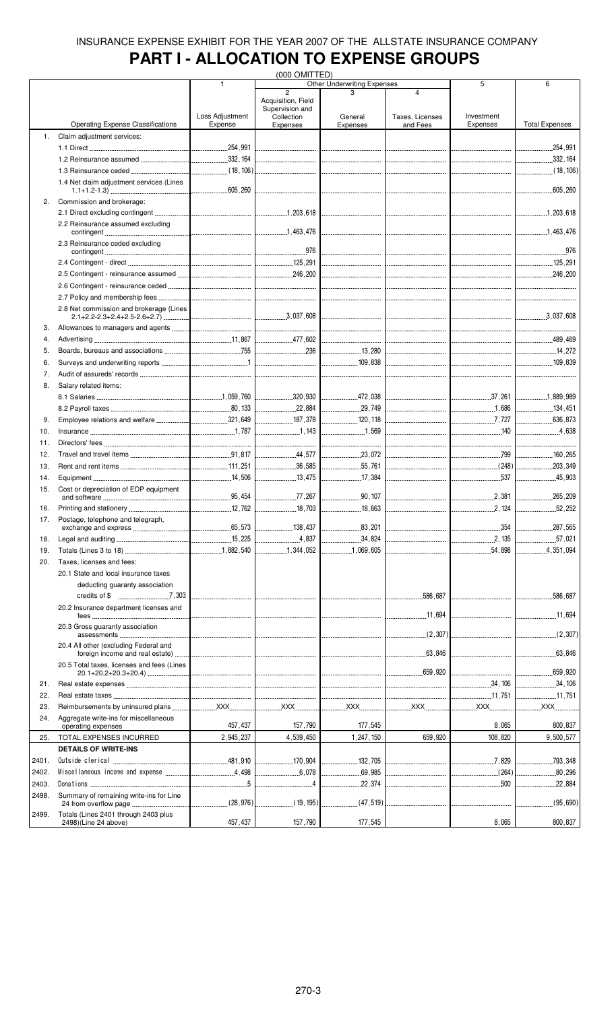## **PART I - ALLOCATION TO EXPENSE GROUPS**

|       |                                                              |                                  | (000 OMITTED)                                       |                                    |                                         |                |                             |
|-------|--------------------------------------------------------------|----------------------------------|-----------------------------------------------------|------------------------------------|-----------------------------------------|----------------|-----------------------------|
|       |                                                              | 1                                | $\overline{2}$                                      | <b>Other Underwriting Expenses</b> | $\overline{4}$                          | 5              | 6                           |
|       |                                                              | Loss Adjustment                  | Acquisition, Field<br>Supervision and<br>Collection | General                            | Taxes, Licenses                         | Investment     |                             |
|       | <b>Operating Expense Classifications</b>                     | Expense                          | Expenses                                            | Expenses                           | and Fees                                | Expenses       | <b>Total Expenses</b>       |
| 1.    | Claim adjustment services:                                   |                                  |                                                     |                                    |                                         |                |                             |
|       |                                                              |                                  |                                                     |                                    |                                         |                | .254,991<br>.               |
|       |                                                              |                                  |                                                     |                                    |                                         |                | .332,164<br>.               |
|       |                                                              |                                  |                                                     |                                    |                                         |                |                             |
|       | 1.4 Net claim adjustment services (Lines                     |                                  |                                                     |                                    |                                         |                | .605,260                    |
| 2.    | Commission and brokerage:                                    |                                  |                                                     |                                    |                                         |                |                             |
|       | 2.2 Reinsurance assumed excluding                            |                                  |                                                     |                                    |                                         |                |                             |
|       | 2.3 Reinsurance ceded excluding                              |                                  |                                                     |                                    |                                         |                | .976                        |
|       |                                                              |                                  |                                                     |                                    |                                         |                | 125, 291                    |
|       |                                                              |                                  |                                                     | ________________________________   |                                         |                |                             |
|       |                                                              |                                  |                                                     |                                    |                                         |                |                             |
|       |                                                              |                                  |                                                     |                                    |                                         |                |                             |
|       |                                                              |                                  |                                                     |                                    | __________________________________      |                |                             |
|       | 2.8 Net commission and brokerage (Lines                      |                                  |                                                     |                                    | <br> ---------------------------------- |                |                             |
| 3.    |                                                              |                                  |                                                     |                                    |                                         |                |                             |
| 4.    |                                                              |                                  |                                                     |                                    |                                         |                |                             |
| 5.    |                                                              |                                  |                                                     |                                    |                                         |                |                             |
| 6.    |                                                              |                                  |                                                     |                                    |                                         |                |                             |
| 7.    |                                                              |                                  |                                                     |                                    |                                         |                |                             |
| 8.    | Salary related items:                                        |                                  |                                                     |                                    |                                         |                |                             |
|       |                                                              |                                  |                                                     |                                    |                                         |                |                             |
|       |                                                              |                                  | $\frac{1}{22,884}$                                  |                                    |                                         |                |                             |
| 9.    |                                                              |                                  | 187,378                                             | 120, 118                           |                                         | 7,727          | 636,873                     |
| 10.   |                                                              |                                  |                                                     |                                    |                                         | 140            | 4.638                       |
|       |                                                              |                                  |                                                     |                                    |                                         |                |                             |
| 11.   |                                                              |                                  | -------------------------------                     |                                    |                                         |                |                             |
| 12.   |                                                              |                                  | 44,577                                              | 23,072                             |                                         |                | 160,265                     |
| 13.   |                                                              |                                  | 36,585                                              | 55,761                             |                                         | $\ldots$ (248) | .203,349<br>.               |
| 14.   |                                                              |                                  | 13,475                                              | 17,384                             |                                         | 537            | 45,903                      |
| 15.   | Cost or depreciation of EDP equipment                        |                                  |                                                     |                                    |                                         |                |                             |
|       |                                                              |                                  |                                                     | $\frac{90.107}{200.107}$           |                                         |                | 265,209                     |
| 16.   |                                                              |                                  |                                                     | 18,663                             |                                         | 2,124          | 52,252                      |
| 17.   | Postage, telephone and telegraph,                            |                                  | 138,437                                             | .83, 201                           |                                         |                | .287,565                    |
|       |                                                              |                                  |                                                     | .                                  |                                         | 354            |                             |
| 18.   |                                                              |                                  | 4.837                                               | .34,824                            |                                         | 2,135          | .57,021                     |
| 19.   |                                                              |                                  | 1,344,052                                           | 1,069,605                          |                                         | 54,898         | .4, 351, 094<br>.           |
| 20.   | Taxes, licenses and fees:                                    |                                  |                                                     |                                    |                                         |                |                             |
|       | 20.1 State and local insurance taxes                         |                                  |                                                     |                                    |                                         |                |                             |
|       | deducting guaranty association                               |                                  |                                                     |                                    |                                         |                |                             |
|       |                                                              | -------------------------------- |                                                     |                                    | 586,687<br>.                            |                | .586,687                    |
|       | 20.2 Insurance department licenses and                       |                                  |                                                     |                                    |                                         |                |                             |
|       | fees<br>20.3 Gross quaranty association                      |                                  |                                                     |                                    |                                         |                | 11,694                      |
|       | 20.4 All other (excluding Federal and                        |                                  |                                                     |                                    |                                         |                |                             |
|       | 20.5 Total taxes, licenses and fees (Lines                   |                                  |                                                     |                                    | $\frac{1}{63,846}$                      |                | .63, 846<br>.               |
|       |                                                              |                                  |                                                     |                                    |                                         |                | .659,920                    |
| 21.   |                                                              |                                  |                                                     |                                    |                                         |                | .34,106<br>---------------- |
| 22.   |                                                              |                                  |                                                     |                                    |                                         | 11.751         | 11,751                      |
| 23.   |                                                              |                                  |                                                     |                                    |                                         |                | <u>XXX</u>                  |
| 24.   | Aggregate write-ins for miscellaneous                        |                                  |                                                     |                                    |                                         |                |                             |
|       | operating expenses                                           | 457,437                          | 157,790                                             | 177,545                            |                                         | 8,065          | 800,837                     |
| 25.   | TOTAL EXPENSES INCURRED                                      | 2,945,237                        | 4,539,450                                           | 1,247,150                          | 659,920                                 | 108,820        | 9,500,577                   |
|       | <b>DETAILS OF WRITE-INS</b>                                  |                                  |                                                     |                                    |                                         |                |                             |
| 2401. |                                                              |                                  | 170.904                                             |                                    |                                         |                | 793,348                     |
| 2402. |                                                              |                                  | 6,078                                               | 69,985                             |                                         |                | 80,296                      |
| 2403. |                                                              |                                  |                                                     | .22,374                            |                                         | 500            | .22,884                     |
| 2498. | Summary of remaining write-ins for Line                      |                                  |                                                     |                                    |                                         |                |                             |
|       |                                                              |                                  |                                                     |                                    |                                         |                | (95,690)                    |
| 2499. | Totals (Lines 2401 through 2403 plus<br>2498)(Line 24 above) | 457, 437                         | 157,790                                             | 177,545                            |                                         | 8,065          | 800,837                     |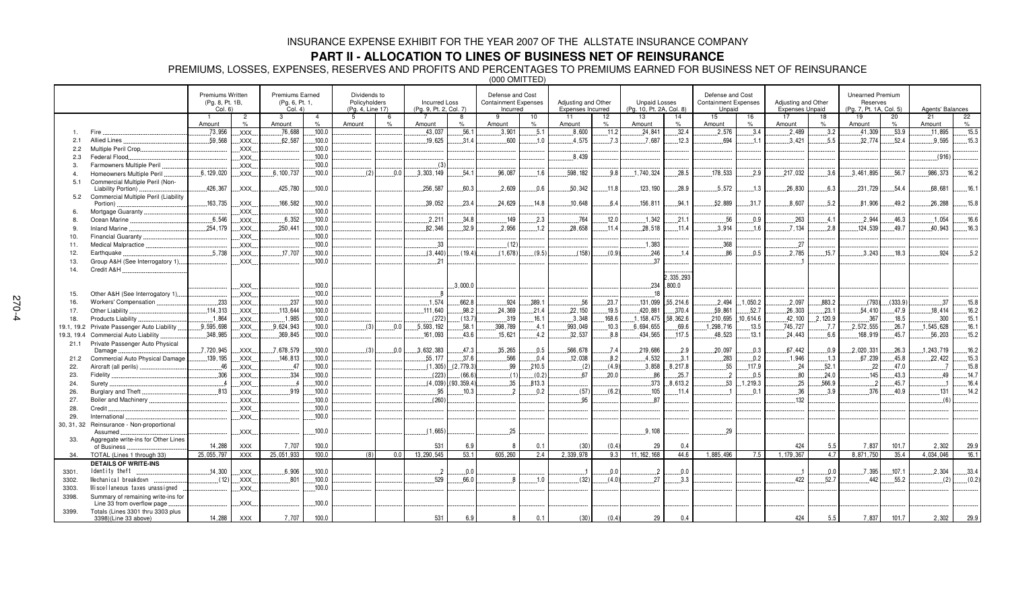### **PART II - ALLOCATION TO LINES OF BUSINESS NET OF REINSURANCE**

PREMIUMS, LOSSES, EXPENSES, RESERVES AND PROFITS AND PERCENTAGES TO PREMIUMS EARNED FOR BUSINESS NET OF REINSURANCE

(000 OMITTED)

|            |                                                             | Premiums Written<br>(Pg. 8, Pt. 1B,<br>Col. 6) |                | Premiums Earned<br>(Pg. 6, Pt. 1,<br>Col. 4) |                | Dividends to<br>Policyholders<br>(Pg. 4, Line 17) |               | <b>Incurred Loss</b><br>(Pg. 9, Pt. 2, Col. 7) |            | Defense and Cost<br><b>Containment Expenses</b><br>Incurred |        | Adjusting and Other<br>Expenses Incurred |       | <b>Unpaid Losses</b><br>(Pg. 10, Pt. 2A, Col. 8) |                   | Defense and Cost<br><b>Containment Expenses</b><br>Unpaid |          | Adjusting and Other<br><b>Expenses Unpaid</b> |         | <b>Unearned Premium</b><br>Reserves<br>(Pg. 7, Pt. 1A, Col. 5) |         | Agents' Balances |                 |
|------------|-------------------------------------------------------------|------------------------------------------------|----------------|----------------------------------------------|----------------|---------------------------------------------------|---------------|------------------------------------------------|------------|-------------------------------------------------------------|--------|------------------------------------------|-------|--------------------------------------------------|-------------------|-----------------------------------------------------------|----------|-----------------------------------------------|---------|----------------------------------------------------------------|---------|------------------|-----------------|
|            |                                                             |                                                | $\overline{c}$ | 3                                            | $\overline{4}$ | -5                                                | $\epsilon$    |                                                |            | 9                                                           | 10     | 11                                       | 12    | 13                                               | 14                | 15                                                        | 16       | 17                                            | 18      | 19                                                             | 20      | 21               |                 |
|            |                                                             | Amount                                         | $\%$           | Amount                                       | $\%$           | Amount                                            | $\frac{1}{2}$ | Amount                                         | $\%$       | Amount                                                      | %      | Amount                                   | $\%$  | Amount                                           | $\%$              | Amount                                                    | %        | Amount                                        | $\%$    | Amount                                                         | $\%$    | Amount           | $\frac{22}{\%}$ |
|            | Fire                                                        | .73,956                                        | XXX.           | .76,688                                      | .100.0         |                                                   |               | 43,037                                         | 56.1       | .3,901                                                      | .5.1   | .8,600                                   | .11.2 | 24,841                                           | .32.4             | 2,576                                                     | 3.4      | .2,489                                        | .3.2    | 41,309                                                         | .53.9   | 11,895           | .15.5           |
| 2.1        | Allied Lines                                                | 59.568                                         | XXX.           | .62.587                                      | .100.0         |                                                   |               | 19.625                                         | 31.4       | .600                                                        | .1.0   | 4.575                                    | .7.3  | .7.687                                           | .12.3             | 694                                                       | .1.1     | .3.421                                        | .5.5    | 32.774                                                         | 52.4    | 9.595            | .15.3           |
| 2.2        | Multiple Peril Crop                                         |                                                | XXX.           |                                              | .100.0         |                                                   |               |                                                |            |                                                             |        |                                          |       |                                                  |                   |                                                           |          |                                               |         |                                                                |         |                  |                 |
| 2.3        | Federal Flood.                                              |                                                | XXX.           |                                              | .100.0         |                                                   |               |                                                |            |                                                             |        | 8.439                                    |       |                                                  |                   |                                                           |          |                                               |         |                                                                |         | (916)            |                 |
| 3.         | Farmowners Multiple Peril                                   |                                                | XXX.           |                                              | ,100.0         |                                                   |               | (3)                                            |            |                                                             |        |                                          |       |                                                  |                   |                                                           |          |                                               |         |                                                                |         |                  |                 |
|            | Homeowners Multiple Peril                                   | 6.129.020                                      | <b>XXX</b>     | 6,100,737                                    | .100.0         | (2)                                               | 0.0           | 3.303.149                                      | 54.1       | 96.087                                                      | 1.6    | 598.182                                  | 9.8   | 1.740.324                                        | .28.5             | 178.533                                                   | .2.9     | 217,032                                       | .3.6    | .3.461.895                                                     | .56.7   | .986,373         | .16.2           |
| 5.1        | Commercial Multiple Peril (Non-                             | .426.367                                       | XXX.           | 425.780                                      | .100.0         |                                                   |               | 256,587                                        | 60.3       | .2,609                                                      | 0.6    | 50,342                                   | .11.8 | 123, 190                                         | .28.9             | .5.572                                                    | .13      | .26, 830                                      | .6.3    | .231,729                                                       | 54.4    | .68,681          | .16.1           |
| 5.2        | Liability Portion).<br>Commercial Multiple Peril (Liability |                                                |                |                                              |                |                                                   |               |                                                |            |                                                             |        |                                          |       |                                                  |                   |                                                           |          |                                               |         |                                                                |         |                  |                 |
|            | Portion)                                                    | .163,735                                       | XXX.           | .166,582                                     | ,100.0         |                                                   |               | 39,052                                         | 23.4       | .24.629                                                     | 14.8   | 10,648                                   | 6.4   | 156,811                                          | .94.1             | .52.889                                                   | .31.7    | .8,607                                        | .5.2    | .81,906                                                        | 49.2    | .26, 288         | .15.8           |
|            | Mortgage Guaranty                                           |                                                | XXX.           |                                              | .100.0         |                                                   |               |                                                |            |                                                             |        |                                          |       |                                                  |                   |                                                           |          |                                               |         |                                                                |         |                  |                 |
|            | Ocean Marine                                                | .6.546                                         | XXX.           | .6,352                                       | .100.0         |                                                   |               | .2.211                                         | 34.8       | .149                                                        | 2.3    | 764                                      | .12.0 | 1,342                                            | .21.1             | .56                                                       | 0.9      | .263                                          | .4.1    | .2.944                                                         | 46.3    | .1.054           | .16.6           |
| 9          | <b>Inland Marine</b>                                        | .254,179                                       | XXX.           | 250,441                                      | .100.0         |                                                   |               | .82,346                                        | 32.9       | .2.956                                                      | .1.2   | 28.658                                   | .11.4 | 28.518                                           | .11.4             | 3.914                                                     | .1.6     | 7.134                                         | 2.8     | 124,539                                                        | 49.7    | 40,943           | 16.3            |
| 10.        | Financial Guaranty                                          |                                                | XXX.           |                                              | 100.0          |                                                   |               |                                                |            |                                                             |        |                                          |       |                                                  |                   |                                                           |          |                                               |         |                                                                |         |                  |                 |
| 11.        | Medical Malpractice                                         |                                                | XXX.           |                                              | 100.0          |                                                   |               | 33                                             |            | (12)                                                        |        |                                          |       | 1,383                                            |                   | 368                                                       |          | 27                                            |         |                                                                |         |                  |                 |
| 12.        | Earthquake                                                  | 5.738                                          | XXX.           | 17,707                                       | .100.0         |                                                   |               | (3, 440)                                       | (19.4)     | (1,678)                                                     | (9.5)  | (158)                                    | (0.9) | 246                                              | 1.4               | 86                                                        | 0.5      | 2,785                                         | 15.7    | 3,243                                                          | 18.3    | 924              | 5.2             |
| 13.        | Group A&H (See Interrogatory 1)                             |                                                | XXX.           |                                              | .100.0         |                                                   |               | .21                                            |            |                                                             |        |                                          |       | 37                                               |                   |                                                           |          |                                               |         |                                                                |         |                  |                 |
| 14.        | Credit A&H                                                  |                                                |                |                                              |                |                                                   |               |                                                |            |                                                             |        |                                          |       |                                                  |                   |                                                           |          |                                               |         |                                                                |         |                  |                 |
|            |                                                             |                                                |                |                                              |                |                                                   |               |                                                |            |                                                             |        |                                          |       |                                                  | 2,335,293         |                                                           |          |                                               |         |                                                                |         |                  |                 |
|            |                                                             |                                                | XXX.           |                                              | .100.0         |                                                   |               |                                                | .3.000.0   |                                                             |        |                                          |       | .234                                             | .800.0            |                                                           |          |                                               |         |                                                                |         |                  |                 |
| 15.        | Other A&H (See Interrogatory 1)                             |                                                | XXX.           |                                              | .100.0         |                                                   |               | $\cdot$ 8                                      |            |                                                             |        |                                          |       | 18                                               |                   |                                                           |          |                                               |         |                                                                |         |                  |                 |
| 16.        | Workers' Compensation                                       | .233                                           | XXX.           | .237                                         | .100.0         |                                                   |               | .1.574                                         | 662.8      | .924                                                        | .389.1 | .56                                      | .23.7 |                                                  | 131,099 .55,214.6 | .2.494                                                    | 1,050.2  | .2.097                                        | 883.2   | (793)                                                          | (333.9) | 37               | .15.8           |
| 17.        | Other Liability.                                            | .114.313                                       | XXX.           | 113.644                                      | .100.0         |                                                   |               | .111.640                                       | 98.2       | .24.369                                                     | 21.4   | .22,150                                  | .19.5 | 420.881                                          | .370.4            | 59.861                                                    | .52.7    | .26,303                                       | .23.1   | 54.410                                                         | 47.9    | 18.414           | .16.2           |
| 18.        | Products Liability                                          | .1.864                                         | XXX.           | .1,985                                       | ,100.0         |                                                   |               | (272)                                          | (13.7)     | 319                                                         | 16.1   | .3.348                                   | 168.6 | .1, 158, 475                                     | .58,362.6         | .210,695                                                  | 10.614.6 | .42,100                                       | 2,120.9 | .367                                                           | 18.5    | .300             | .15.1           |
| 19.1, 19.2 | Private Passenger Auto Liability                            | 9,595,698                                      | XXX.           | .9.624.943                                   | .100.0         | (3)                                               | 0.0           | .5,593,192                                     | .58.1      | 398.789                                                     | .4.1   | 993.049                                  | .10.3 | .6,694,655                                       | .69.6             | .1,298,716                                                | .13.5    | 745,727                                       | .7.7    | .2,572,555                                                     | .26.7   | 1,545,628        | .16.1           |
| 19.3, 19.4 | Commercial Auto Liability                                   | .348,985                                       | XXX.           | .369,845                                     | .100.0         |                                                   |               | .161,093                                       | 43.6       | .15,621                                                     | 4.2    | .32,537                                  | 8.8   | .434,565                                         | .117.5            | .48,523                                                   | .13.1    | .24,443                                       | .6.6    | .168,919                                                       | .45.7   | .56,203          | .15.2           |
| 21.1       | Private Passenger Auto Physical                             |                                                |                |                                              |                |                                                   |               |                                                |            |                                                             |        |                                          |       |                                                  |                   |                                                           |          |                                               |         |                                                                |         |                  |                 |
|            | Damage                                                      | .7,720,945                                     | XXX.           | 7,678,579                                    | 100.0          | (3)                                               | 0.0           | 3,632,383                                      | 47.3       | 35,265                                                      | 0.5    | 566,678                                  | .7.4  | 219,686                                          | .2.9              | 20,097                                                    | .0.3     | .67,442                                       | .0.9    | .2,020,331                                                     | 26.3    | 1,243,719        | 16.2            |
| 21.2       | Commercial Auto Physical Damage                             | 139, 195                                       | XXX.           | 146,813                                      | 100.0          |                                                   |               | 55, 177                                        | 37.6       | .566                                                        | 0.4    | 12,038                                   | 8.2   | 4,532                                            | 3.1               | 283                                                       | 0.2      | .1,946                                        | .1.3    | .67,239                                                        | 45.8    | 22,422           | 15.3            |
| 22.        | Aircraft (all perils)                                       | .46                                            | XXX.           | .47                                          | 100.0          |                                                   |               | (1, 305)                                       | (2.779.3)  | .99                                                         | .210.5 | (2)                                      | (4.9) | .3,858                                           | .8,217.8          | .55                                                       | .117.9   | $-24$                                         | .52.1   | $-22$                                                          | 47.0    |                  | .15.8           |
| 23.        | Fidelity                                                    | .306                                           | XXX.           | 334                                          | .100.0         |                                                   |               | (223)                                          | (66.6)     | (1)                                                         | (0.2)  | .67                                      | .20.0 | .86                                              | .25.7             | $\overline{2}$                                            | .0.5     | .80                                           | .24.0   | 145                                                            | 43.3    | 49               | .14.7           |
| 24.        | Surety                                                      |                                                | XXX.           |                                              | .100.0         |                                                   |               | (4,039)                                        | (93.359.4) | .35                                                         | 813.3  |                                          |       | . 373                                            | .8,613.2          | .53                                                       | 1,219.3  | . 25                                          | .566.9  |                                                                | 45.7    |                  | 16.4            |
| 26.        | Burglary and Theft                                          | .813                                           | XXX            | 919                                          | .100.0         |                                                   |               | .95                                            | .10.3      | າ                                                           | 0.2    | (57)                                     | (6.2) | .105                                             | .11.4             |                                                           | .0.1     | .36                                           | .3.9    | .376                                                           | 40.9    | .131             | .14.2           |
| 27.        | Boiler and Machinery                                        |                                                | XXX.           |                                              | .100.0         |                                                   |               | (260)                                          |            |                                                             |        | .95                                      |       | .87                                              |                   |                                                           |          | 132                                           |         |                                                                |         | (6)              |                 |
| 28.        | Credit.                                                     |                                                | XXX.           |                                              | .100.0         |                                                   |               |                                                |            |                                                             |        |                                          |       |                                                  |                   |                                                           |          |                                               |         |                                                                |         |                  |                 |
| 29.        | International                                               |                                                | XXX.           |                                              | .100.0         |                                                   |               |                                                |            |                                                             |        |                                          |       |                                                  |                   |                                                           |          |                                               |         |                                                                |         |                  |                 |
| 30, 31, 32 | Reinsurance - Non-proportional                              |                                                |                |                                              |                |                                                   |               |                                                |            |                                                             |        |                                          |       |                                                  |                   |                                                           |          |                                               |         |                                                                |         |                  |                 |
|            | Assumed                                                     |                                                | <b>XXX</b>     |                                              | .100.0         |                                                   |               | (1,665)                                        |            | 25                                                          |        |                                          |       | .9,108                                           |                   | 29                                                        |          |                                               |         |                                                                |         |                  |                 |
| 33.        | Aggregate write-ins for Other Lines<br>of Business          | 14,288                                         | <b>XXX</b>     | 7,707                                        | 100.0          |                                                   |               | 531                                            | 6.9        |                                                             | 0.1    | (30)                                     | (0.4) | 29                                               | 0.4               |                                                           |          | 424                                           | 5.5     | 7,837                                                          | 101.7   | 2,302            | 29.9            |
| 34.        | TOTAL (Lines 1 through 33)                                  | 25,055,797                                     | <b>XXX</b>     | 25,051,933                                   | 100.0          | (8)                                               | 0.0           | 13.290.545                                     | 53.1       | 605.260                                                     | 2.4    | 2.339.978                                | 9.3   | 11.162.168                                       | 44.6              | 1.885.496                                                 | 7.5      | 1.179.367                                     | 4.7     | 8.871.750                                                      | 35.4    | 4.034.046        | 16.1            |
|            | <b>DETAILS OF WRITE-INS</b>                                 |                                                |                |                                              |                |                                                   |               |                                                |            |                                                             |        |                                          |       |                                                  |                   |                                                           |          |                                               |         |                                                                |         |                  |                 |
| 3301.      | Identity theft                                              | .14,300                                        | XXX.           | .6,906                                       | .100.0         |                                                   |               | $\overline{2}$                                 | 0.0        |                                                             |        |                                          | 0.0   | $\overline{2}$                                   | .0.0              |                                                           |          |                                               | .0.0    | .7.395                                                         | 107.1   | .2,304           | 33.4            |
| 3302.      | Mechanical breakdown                                        | (12)                                           | XXX.           | 801                                          | 100.0          |                                                   |               | 529                                            | 66.0       |                                                             | 1.0    | (32)                                     | (4.0) | 27                                               | 3.3               |                                                           |          | 422                                           | 52.7    | 442                                                            | 55.2    | (2)              | (0.2)           |
| 3303.      | Miscellaneous taxes unassigned                              |                                                | XXX.           |                                              | 100.0          |                                                   |               |                                                |            |                                                             |        |                                          |       |                                                  |                   |                                                           |          |                                               |         |                                                                |         |                  |                 |
| 3398.      | Summary of remaining write-ins for                          |                                                |                |                                              |                |                                                   |               |                                                |            |                                                             |        |                                          |       |                                                  |                   |                                                           |          |                                               |         |                                                                |         |                  |                 |
|            | Line 33 from overflow page                                  |                                                | XXX.           |                                              | 100.0          |                                                   |               |                                                |            |                                                             |        |                                          |       |                                                  |                   |                                                           |          |                                               |         |                                                                |         |                  |                 |
| 3399.      | Totals (Lines 3301 thru 3303 plus                           |                                                |                |                                              |                |                                                   |               |                                                |            |                                                             |        |                                          |       |                                                  |                   |                                                           |          |                                               |         |                                                                |         |                  |                 |
|            | 3398)(Line 33 above)                                        | 14,288                                         | <b>XXX</b>     | 7,707                                        | 100.0          |                                                   |               | 531                                            | 6.9        | 8                                                           | 0.1    | (30)                                     | (0.4) | 29                                               | 0.4               |                                                           |          | 424                                           | 5.5     | 7,837                                                          | 101.7   | 2,302            | 29.9            |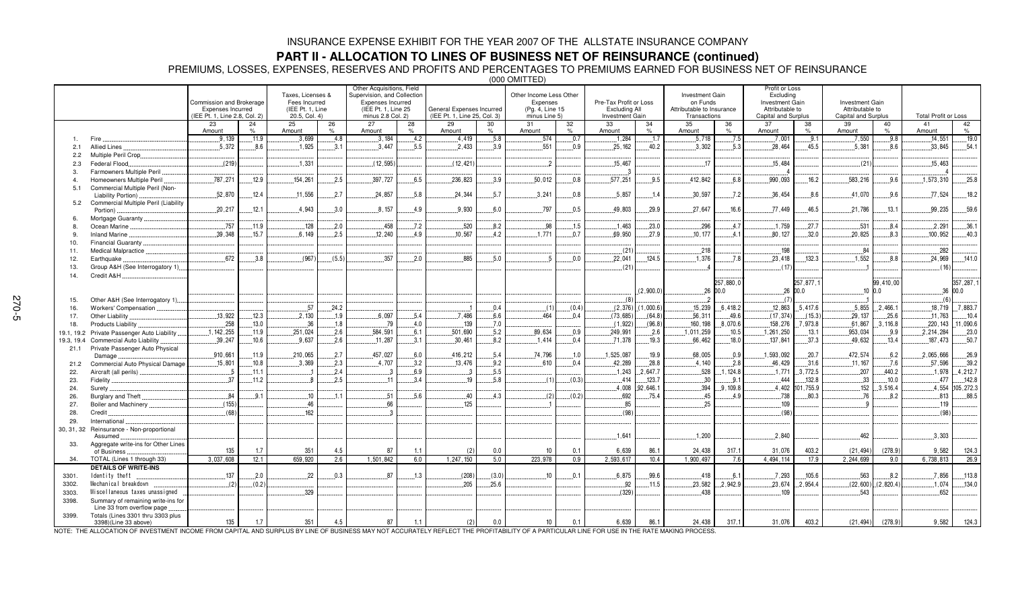### **PART II - ALLOCATION TO LINES OF BUSINESS NET OF REINSURANCE (continued)**

PREMIUMS, LOSSES, EXPENSES, RESERVES AND PROFITS AND PERCENTAGES TO PREMIUMS EARNED FOR BUSINESS NET OF REINSURANCE

(000 OMITTED)

|              |                                                                  | Commission and Brokerage<br>Expenses Incurred<br>(IEE Pt. 1, Line 2.8, Col. 2) |            | Taxes, Licenses &<br>Fees Incurred<br>(IEE Pt. 1. Line<br>20.5, Col. 4) |            | Other Acquisitions, Field<br>Supervision, and Collection<br>Expenses Incurred<br>(IEE Pt. 1. Line 25)<br>minus 2.8 Col. 2) |      | General Expenses Incurred<br>(IEE Pt. 1. Line 25, Col. 3) |            | Other Income Less Other<br>Expenses<br>(Pg. 4, Line 15)<br>minus Line 5) |                     | Pre-Tax Profit or Loss<br>Excluding All<br>Investment Gain |            | <b>Investment Gain</b><br>on Funds<br>Attributable to Insurance<br>Transactions |                   | Profit or Loss<br>Excluding<br>Investment Gain<br>Attributable to<br>Capital and Surplus |                      | <b>Investment Gain</b><br>Attributable to<br>Capital and Surplus |                    | <b>Total Profit or Loss</b> |                        |
|--------------|------------------------------------------------------------------|--------------------------------------------------------------------------------|------------|-------------------------------------------------------------------------|------------|----------------------------------------------------------------------------------------------------------------------------|------|-----------------------------------------------------------|------------|--------------------------------------------------------------------------|---------------------|------------------------------------------------------------|------------|---------------------------------------------------------------------------------|-------------------|------------------------------------------------------------------------------------------|----------------------|------------------------------------------------------------------|--------------------|-----------------------------|------------------------|
|              |                                                                  | 23<br>Amount                                                                   | 24<br>$\%$ | 25<br>Amount                                                            | 26<br>$\%$ | 27<br>Amount                                                                                                               | 28   | 29<br>Amount                                              | 30<br>$\%$ | 31<br>Amount                                                             | 32<br>$\frac{9}{6}$ | 33<br>Amount                                               | 34<br>$\%$ | 35<br>Amount                                                                    | 36                | 37<br>Amount                                                                             | 38<br>$O_{\Lambda}$  | 39<br>Amount                                                     | 40<br>$\%$         | 41<br>Amount                | 42<br>$\%$             |
|              | Fire                                                             | .9.139                                                                         | .11.9      | .3,699                                                                  | .4.8       | .3.184                                                                                                                     | .4.2 | 4.419                                                     | .5.8       | 574                                                                      | .0.7                | .1.284                                                     | .1.7       | .5.718                                                                          | .7.5              | .7.001                                                                                   | .9.1                 | .7.550                                                           | 9.8                | 14.551                      | .19.0                  |
| 2.1          | Allied Lines.                                                    | 5.372                                                                          | .8.6       | 1.925                                                                   | 3.1        | 3.447                                                                                                                      | 5.5  | 2.433                                                     | 3.9        | 551                                                                      | 0.9                 | 25.162                                                     | 40.2       | .3.302                                                                          | 5.3               | 28.464                                                                                   | 45.5                 | 5.381                                                            | 8.6                | 33.845                      | 54.1                   |
| 2.2          | Multiple Peril Crop                                              |                                                                                |            |                                                                         |            |                                                                                                                            |      |                                                           |            |                                                                          |                     |                                                            |            |                                                                                 |                   |                                                                                          |                      |                                                                  |                    |                             |                        |
| 2.3          | Federal Flood.                                                   | (219)                                                                          |            | .1,331                                                                  |            | (12, 595)                                                                                                                  |      | (12,421)                                                  |            | $\overline{\phantom{a}}$                                                 |                     | .15,467                                                    |            | .17                                                                             |                   | .15,484                                                                                  |                      | (21)                                                             |                    | 15,463                      |                        |
| -3.          | Farmowners Multiple Peril                                        |                                                                                |            |                                                                         |            |                                                                                                                            |      |                                                           |            |                                                                          |                     |                                                            |            |                                                                                 |                   |                                                                                          |                      |                                                                  |                    |                             |                        |
|              | Homeowners Multiple Peril                                        | 787,271                                                                        | .12.9      | 154.261                                                                 | 2.5        | .397,727                                                                                                                   | 6.5  | 236.823                                                   | 3.9        | .50.012                                                                  | 0.8                 | .577,251                                                   | .9.5       | .412.842                                                                        | 6.8               | .990,093                                                                                 | 16.2                 | 583.216                                                          | 9.6                | .1,573,310                  | .25.8                  |
| 5.1          | Commercial Multiple Peril (Non-<br>Liability Portion)            | .52.870                                                                        | .12.4      | .11,556                                                                 | .2.7       | .24.857                                                                                                                    | .5.8 | 24.344                                                    | 5.7        | .3,241                                                                   | 0.8                 | .5.857                                                     | .1.4       | .30,597                                                                         | .7.2              | .36,454                                                                                  | .8.6                 | .41,070                                                          | .9.6               | .77,524                     | 18.2                   |
| 5.2          | Commercial Multiple Peril (Liability                             |                                                                                |            |                                                                         |            |                                                                                                                            |      |                                                           |            |                                                                          |                     |                                                            |            |                                                                                 |                   |                                                                                          |                      |                                                                  |                    |                             |                        |
|              | Portion)                                                         | .20.217                                                                        | .12.1      | 4,943                                                                   | 3.0        | 8.157                                                                                                                      | 4.9  | 9.930                                                     | 6.0        | .797                                                                     | 0.5                 | 49.803                                                     | 29.9       | .27.647                                                                         | 16.6              | 77.449                                                                                   | 46.5                 | 21,786                                                           | .13.1              | .99,235                     | .59.6                  |
|              | Mortgage Guaranty                                                |                                                                                |            |                                                                         |            |                                                                                                                            |      |                                                           |            |                                                                          |                     |                                                            |            |                                                                                 |                   |                                                                                          |                      |                                                                  |                    |                             |                        |
| <sup>8</sup> | Ocean Marine                                                     | .757                                                                           | .11.9      | .128                                                                    | .2.0       | .458                                                                                                                       | .7.2 | .520                                                      | .8.2       | .98                                                                      | .1.5                | 1,463                                                      | .23.0      | .296                                                                            | .4.7              | .1,759                                                                                   | .27.7                | .531                                                             | .8.4               | .2,291                      | .36.1                  |
|              | <b>Inland Marine</b>                                             | 39.348                                                                         | .15.7      | 6.149                                                                   | 2.5        | 12.240                                                                                                                     | 4.9  | 10.567                                                    | 4.2        | 1.771                                                                    | 0.7                 | 69.950                                                     | 27.9       | 10.177                                                                          | 41                | 80.127                                                                                   | 32.0                 | 20.825                                                           | 8.3                | 100.952                     | 40.3                   |
| 10.          | Financial Guaranty                                               |                                                                                |            |                                                                         |            |                                                                                                                            |      |                                                           |            |                                                                          |                     |                                                            |            |                                                                                 |                   |                                                                                          |                      |                                                                  |                    |                             |                        |
| 11.          | Medical Malpractice.                                             |                                                                                |            |                                                                         |            |                                                                                                                            |      |                                                           |            |                                                                          |                     | (21)                                                       |            | .218                                                                            |                   | 198                                                                                      |                      | .84                                                              |                    | .282                        |                        |
| 12.          | Earthquake                                                       | .672                                                                           | 3.8        | (967)                                                                   | (5.5)      | .357                                                                                                                       | .2.0 | .885                                                      | .5.0       |                                                                          | 0.0                 | .22,041                                                    | .124.5     | 1,376                                                                           | 7.8               | 23,418                                                                                   | 132.3                | 1,552                                                            | 8.8                | .24,969                     | .141.0                 |
| 13.          | Group A&H (See Interrogatory 1)                                  |                                                                                |            |                                                                         |            |                                                                                                                            |      |                                                           |            |                                                                          |                     | (21)                                                       |            |                                                                                 |                   | (17)                                                                                     |                      |                                                                  |                    | (16)                        |                        |
| 14.          | Credit A&H                                                       |                                                                                |            |                                                                         |            |                                                                                                                            |      |                                                           |            |                                                                          |                     |                                                            | (2,900.0)  | .26                                                                             | 257.880.0<br>0.00 |                                                                                          | 257.877.1<br>26 00.0 |                                                                  | 99.410.00<br>100.0 |                             | 357, 287, 1<br>36 00.0 |
| 15.          | Other A&H (See Interrogatory 1)                                  |                                                                                |            |                                                                         |            |                                                                                                                            |      |                                                           |            |                                                                          |                     | (8)                                                        |            |                                                                                 |                   | (7)                                                                                      |                      |                                                                  |                    | (6)                         |                        |
| 16.          | Workers' Compensation                                            |                                                                                |            | .57                                                                     | 24.2       |                                                                                                                            |      | ×                                                         | 0.4        | (1)                                                                      | (0.4)               | (2,376)                                                    | 1,000.6    | 15,239                                                                          | 6.418.2           | 12,863                                                                                   | .5,417.6             | .5,855                                                           | .2,466.1           | 18,719                      | 7,883.7                |
| 17.          | Other Liability                                                  | .13,922                                                                        | .12.3      | .2.130                                                                  | .1.9       | .6,097                                                                                                                     | .5.4 | .7.486                                                    | 6.6        | 464                                                                      | .0.4                | (73, 685)                                                  | (64.8)     | .56,311                                                                         | .49.6             | (17, 374)                                                                                | $$ (15.3)            | .29.137                                                          | .25.6              | .11,763                     | .10.4                  |
| 18.          | Products Liability.                                              | .258                                                                           | .13.0      | .36                                                                     | .1.8       | .79                                                                                                                        | .4.0 | 139                                                       | .7.0       |                                                                          |                     | (1, 922)                                                   | (96.8)     | 160, 198                                                                        | .8,070.6          | .158,276                                                                                 | 7.973.8              | .61,867                                                          | .3,116.8           | .220, 143                   | .11,090.6              |
| 19.1, 19.2   | Private Passenger Auto Liability.                                | .1, 142, 255                                                                   | .11.9      | .251,024                                                                | 2.6        | .584,591                                                                                                                   | 6.1  | 501.690                                                   | 5.2        | 89.634                                                                   | 0.9                 | .249,991                                                   | .2.6       | .1,011,259                                                                      | 10.5              | .1,261,250                                                                               | .13.1                | 953.034                                                          | 9.9                | 2,214,284                   | 23.0                   |
| 19.3, 19.4   | Commercial Auto Liability                                        | .39.247                                                                        | .10.6      | .9.637                                                                  | 2.6        | .11,287                                                                                                                    | 3.1  | .30.461                                                   | 8.2        | .1.414                                                                   | 0.4                 | .71,378                                                    | .19.3      | .66.462                                                                         | .18.0             | .137,841                                                                                 | .37.3                | 49.632                                                           | .13.4              | .187.473                    | .50.7                  |
| 21.1         | Private Passenger Auto Physical                                  |                                                                                |            |                                                                         |            |                                                                                                                            |      |                                                           |            |                                                                          |                     |                                                            |            |                                                                                 |                   |                                                                                          |                      |                                                                  |                    |                             |                        |
|              | Damage                                                           | .910,661                                                                       | .11.9      | .210,065                                                                | 2.7        | 457,027                                                                                                                    | 6.0  | 416,212                                                   | 5.4        | 74,796                                                                   | .1.0                | 1,525,087                                                  | 19.9       | .68,005                                                                         | 0.9               | .1,593,092                                                                               | 20.7                 | 472,574                                                          | 6.2                | 2,065,666                   | 26.9                   |
| 21.2         | Commercial Auto Physical Damage                                  | 15,801                                                                         | .10.8      | .3,369                                                                  | .2.3       | .4,707                                                                                                                     | 3.2  | .13,476                                                   | .9.2       | .610                                                                     | 0.4                 | .42,289                                                    | .28.8      | .4.140                                                                          | .2.8              | .46,429                                                                                  | .31.6                | .11,167                                                          | .7.6               | .57,596                     | .39.2                  |
| 22.          | Aircraft (all perils).                                           |                                                                                | .11.1      |                                                                         | .2.4       |                                                                                                                            | 6.9  |                                                           | .5.5       |                                                                          |                     | .1,243                                                     | .647.7     | .528                                                                            | .1.124.8          | .1.771                                                                                   | .3,772.5             | .207                                                             | 440.2              | .1,978                      | .4,212.7               |
| 23.          | Fidelity                                                         | 37                                                                             | $.11.2$    | - 8                                                                     | 2.5        | 11                                                                                                                         | 3.4  | 19                                                        | 5.8        | (1)                                                                      | (0.3)               | 414                                                        | 123.7      | .30                                                                             | 9.1               | .444                                                                                     | 132.8                | 33                                                               | .10.0              | 477                         | 142.8                  |
| 24.          | Surety                                                           |                                                                                |            |                                                                         |            |                                                                                                                            |      |                                                           |            |                                                                          |                     | 4.008                                                      | 92.646.1   | .394                                                                            | .9.109.8          | .4.402                                                                                   | 101.755.9            | .152                                                             | 3.516.4            | 4.554                       | 105, 272.3             |
| 26.          | Burglary and Theft                                               | .84                                                                            | .9.1       | .10                                                                     | 1.1        | .51                                                                                                                        | 5.6  | .40                                                       | 4.3        | (2)                                                                      | (0.2)               | 692                                                        | .75.4      | .45                                                                             | 4.9               | .738                                                                                     | .80.3                | .76                                                              | 8.2                | .813                        | .88.5                  |
| 27.          | Boiler and Machinery                                             | (155)                                                                          |            | .46                                                                     |            | .66                                                                                                                        |      | 125                                                       |            |                                                                          |                     | 85                                                         |            | $-25$                                                                           |                   | 109                                                                                      |                      |                                                                  |                    | .119                        |                        |
| 28.          | Credit.                                                          | (68)                                                                           |            | 162                                                                     |            |                                                                                                                            |      |                                                           |            |                                                                          |                     | (98)                                                       |            |                                                                                 |                   | (98)                                                                                     |                      |                                                                  |                    | (98)                        |                        |
| 29.          | International                                                    |                                                                                |            |                                                                         |            |                                                                                                                            |      |                                                           |            |                                                                          |                     |                                                            |            |                                                                                 |                   |                                                                                          |                      |                                                                  |                    |                             |                        |
| 30, 31, 32   | Reinsurance - Non-proportional<br>Assumed                        |                                                                                |            |                                                                         |            |                                                                                                                            |      |                                                           |            |                                                                          |                     | .1.641                                                     |            | .1.200                                                                          |                   | .2.840                                                                                   |                      | 462                                                              |                    | 3.303                       |                        |
| 33.          | Aggregate write-ins for Other Lines<br>of Business               | 135                                                                            | 1.7        | 351                                                                     | 4.5        | 87                                                                                                                         | 1.1  | (2)                                                       | 0.0        | 10                                                                       | 0.1                 | 6,639                                                      | 86.1       | 24,438                                                                          | 317.1             | 31,076                                                                                   | 403.2                | (21, 494)                                                        | (278.9)            | 9,582                       | 124.3                  |
| 34.          | TOTAL (Lines 1 through 33)                                       | 3.037.608                                                                      | 12.1       | 659.920                                                                 | 2.6        | 1.501.842                                                                                                                  | 6.0  | 1.247.150                                                 | 5.0        | 223.978                                                                  | 0.9                 | 2.593.617                                                  | 10.4       | 1.900.497                                                                       | 7.6               | 4,494,114                                                                                | 17.9                 | 2.244.699                                                        | 9.0                | 6.738.813                   | 26.9                   |
|              | <b>DETAILS OF WRITE-INS</b>                                      |                                                                                |            |                                                                         |            |                                                                                                                            |      |                                                           |            |                                                                          |                     |                                                            |            |                                                                                 |                   |                                                                                          |                      |                                                                  |                    |                             |                        |
| 3301.        | Identity theft                                                   | .137                                                                           | .2.0       | .22                                                                     | .0.3       | 87                                                                                                                         | .1.3 | (208)                                                     | (3.0)      | 10                                                                       | .0.1                | .6,875                                                     | .99.6      | .418                                                                            | .6.1              | .7,293                                                                                   | .105.6               | .563                                                             | .8.2               | .7,856                      | .113.8                 |
| 3302.        | Mechanical breakdown                                             | (2)                                                                            | (0.2)      |                                                                         |            |                                                                                                                            |      | 205                                                       | .25.6      |                                                                          |                     | .92                                                        | .11.5      | .23,582                                                                         | .2.942.9          | .23,674                                                                                  | .2.954.4             | (22,600)                                                         | (2,820.4)          | .1,074                      | 134.0                  |
| 3303.        | Miscellaneous taxes unassigned                                   |                                                                                |            | .329                                                                    |            |                                                                                                                            |      |                                                           |            |                                                                          |                     | (329)                                                      |            | 438                                                                             |                   | .109                                                                                     |                      | 543                                                              |                    | 652                         |                        |
| 3398.        | Summary of remaining write-ins for<br>Line 33 from overflow page |                                                                                |            |                                                                         |            |                                                                                                                            |      |                                                           |            |                                                                          |                     |                                                            |            |                                                                                 |                   |                                                                                          |                      |                                                                  |                    |                             |                        |
| 3399.        | Totals (Lines 3301 thru 3303 plus<br>3398)(Line 33 above)        | 135                                                                            | 1.7        | 351                                                                     | 4.5        | 87                                                                                                                         | 1.1  | (2)                                                       | 0.0        | 10                                                                       | 0.1                 | 6,639                                                      | 86.1       | 24,438                                                                          | 317.1             | 31,076                                                                                   | 403.2                | (21, 494)                                                        | (278.9)            | 9,582                       | 124.3                  |

NOTE: THE ALLOCATION OF INVESTMENT INCOME FROM CAPITAL AND SURPLUS BY LINE OF BUSINESS MAY NOT ACCURATELY REFLECT THE PROFITABILITY OF A PARTICULAR LINE FOR USE IN THE RATE MAKING PROCESS.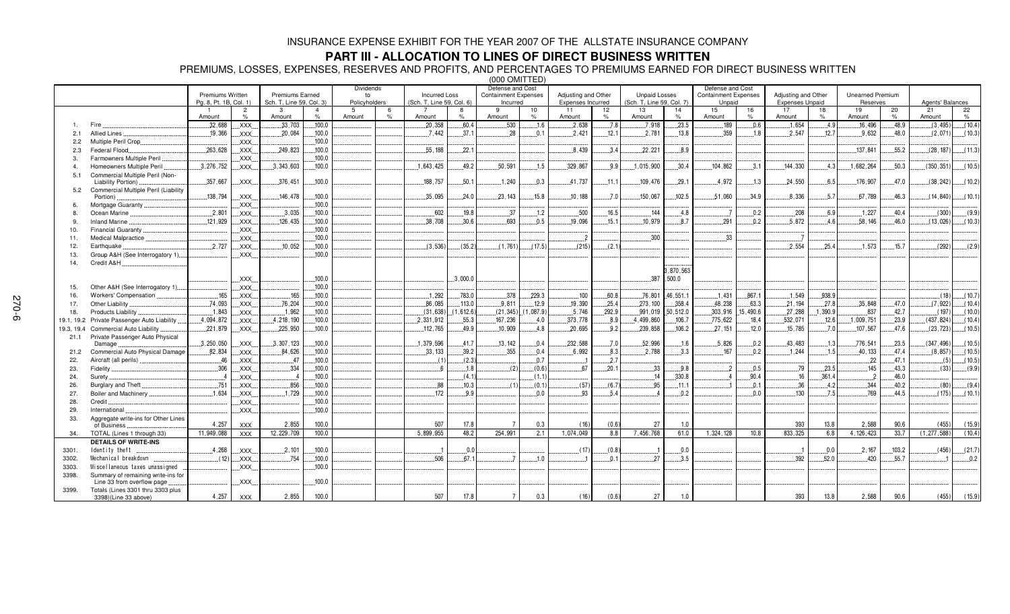### **PART III - ALLOCATION TO LINES OF DIRECT BUSINESS WRITTEN**

PREMIUMS, LOSSES, EXPENSES, RESERVES AND PROFITS, AND PERCENTAGES TO PREMIUMS EARNED FOR DIRECT BUSINESS WRITTEN

(000 OMITTED) Premiums Written Pg. 8, Pt. 1B, Col. 1) Premiums Earned Sch. T, Line 59, Col. 3) Dividendsto Policyholders Incurred Loss (Sch. T, Line 59, Col. 6) Defense and Cost Containment Expenses IncurredAdjusting and Other Expenses Incurred Unpaid Losses (Sch. T, Line 59, Col. 7) Defense and Cost Containment Expenses **Unpaid** Adjusting and Other Expenses Unpaid Unearned PremiumReservesAgents' Balances 1 Amount 2 %3 Amount4 % $100.0$ 5 Amount %7 Amount 8%60.4 9 Amount 10%11 Amount 12%13 Amount 14 %23.5 15 Amount 16 %17 Amount 18 %19 Amount 20 %48.9  $21$  Amount 22  $\mathsf{o}/\mathsf{s}$  $(10.4)$ 1. Fire - $.32,688$  XXX  $.33,703$  - $.20,358$  $.530$  $.1.6$  -  $7.8$  $7,918$ .189  $.0.6$  $.1,654$  $.4.9$  $.16,496$  $(3, 495)$ 2.1 Allied Lines XXX -  $100.0$  $.7.442$  $.37.$ 1 -8 L.........0.1 1 L...............2,421 - -  $.13.8$ 359  $1.8$  - -.7  $.9.632$ 2 L.......48.0  $(2,071)$ , 071) […….( 10.3) 2.2 Multiple Peril Crop XXX  $.100.0$ 2.3Federal Flood.. 63,628 XXXX.... ............249,823 3 L......100.0 55.188 2.1  $.8.439$  $.3.4$  ---- 1 L.......8.9 .137,841  $.55.2$  -  $(11.3)$ 3. Farmowners Multiple Peril XXX  $.100.0$ ö 4.. Homeowners Multiple Peril ............................3,2  $.3.276.752$  XXX $.3.343.603$  -5 - 49.2  $.50.591$  $.1.5$  -  $.9.9$  $.1.015.900$  $.30.4$  $.104.862$ 2 L. . . . . . . 3.1  $.144.330$  $43$ 3 ........1,682,264 4 L.......50.3  $(350.351)$  $.110.5$ 5.1 Commercial Multiple Peril (Non-Liability Portion) XXX   $.100.0$ 188,757  $.50.$  - 41,737  $.11.1$ 109,476 9.1 4,972 -  $6!$  $.176,907$  $.47.0$  -- $|$ .......(10.2) 5.2 Commercial Multiple Peril (Liability Portion) 
 XXX   $.100.0$ 35,095 4.0 -   $.15.8$  $.10.188$  $.7.0$ 150,067 .5 .51,060  $.34.9$  $.8,336$ 5.7 .67,789  $.46.3$  $(14, 840)$  $(10.1)$ 6. Mortgage Guaranty XXX  $.100.0$  $\overline{0}$ 8. Ocean Marine - $.2,801$   $\quad$  XXX. 3.035 - 37  $1.2$ 500 16.5 144  $4.8$   $0.2$ 2 L................208 --7 L.......40.4  $(300)$  $(9.9)$ 9. Inland Marine -1,929 XXX -  $100.0$ 38.708  $30.6$ 693  $0.5$ 19.096  $15.1$ 10,979 8.7 - 1 L.........0.2  $.5,872$  $\Delta$ 6 58.146  $.46.0$  $(13,026)$ 6) [……(10.3) 10. Financial Guaranty XXX  $100.0$  $\overline{0}$ 11. Medical Malpractice XXX - 12.Earthquake .727 XXX $.10.052$ 2 L......100.0  $(3.536)$  $(35.2)$  $(1.761)$   $(17.5)$  $(215)$ .2).........(2 - $.2.554$ 5.4  $.1.573$  $.15.$  -- $|$ .........(2.9) 13. Group A&H (See Interrogatory 1) XXX 0 14. Credit A&H XXX 870.563 , 500.0 15. Other A&H (See Interrogatory 1) XXX  $100<sub>0</sub>$  $\overline{0}$ 16. Workers'Compensation XXX -1 292 2 L......783.0 378 29.3 100 60.8 76.801 46.551. 1  $1.431$ 867 1 1 549 938  $(107)$ 17. Other Liability  XXX - $.76, 204$ 4 L......100.0  $.86,085$  $113($  $.9,811$  $12.9$  $.19.390$ 5.4 - 4 -8 L.......63.3 3 L............21,194 L.........2 7.8 35.848 47.0 -- $|$ .......(10.4) 18. Products Liability  XXX 
-2 L......100.0  $(31.638)$ 1.612.6 -   $(1.087.9)$  5.746 92.9 991.019 .0 303.916 15.490.6 6 L…………27,288 837 .7  $(197)$  $(10.0)$ 19.1, 19.2 Private Passenger Auto Liability ................4,094,872 XXXX... L...... 4,218, 190 L......100.  $100.0$  -2.331.912 2 L........55.3 3 <u>| . . . . . . . . .</u>167 , 236 6 L........4.0 373.778 8.9 4.499.860  $106.7$ 7 L………775,622 2 L.......18.4 - -.6  $.1,009,751$ 3.9  $(437.824)$ 4) [……(10.4) 19.3, 19.4 Commercial Auto Liability -221.879 XXX -- 100.0 -  49.9 10.909 4.8 -  $92$  - 106.2 - - $120$  $.15,785$  $70$  $.107,567$ 47.6 6 L...........(23,72 3) [……(10.5) 21.1 Private Passenger Auto Physical Damage - $3.250.050$  XXX X.... L.......3,307, 123 3 L......100.0 1.379.596  $41.$  $.13.142$ 2 L........0.4 --  $.7.0$  -  $.1.6$  -6 L.........0.2 43.483  $1$ : 776,541 3.5  $(347.496)$  $(10.5)$ 21.2Commercial Auto Physical Damage  XXX -6 L......100.0  $33.133$  $-39.2$ 355  $0.4$  $6.992$ 2 L.........8.3 -  $3.3$  $.167$  $0.2$  -4 L..........1.5 40.133 47.4  $(8.857)$  $(10.5)$ 22. Aircraft (all perils)  XXX   $100.0$  - $(2.3)$   $0.7$  -.7 - $-22$ 2 L.......47.1 23. Fidelity XXX   $100.0$   $.1.8$  $(2)$  $(0.6)$ 67 0.1 33  $9.8$  -2 L........0.5 79 3.5 145 43.3  $(33)$  $(9.9)$ 24. Surety  XXX   $100.0$   $(4.1)$  (1.1) 330.8 16 361. 4 -2 L......46.0 26. Burglary and Theft XXX  $100.0$   $10.3$  $(1)$   $(0.1)$  $(57)$   $(6)$ 95  $11.1$  2  $4.2$  344  $40.2$  $(80)$  $(9.4)$ 27. Boiler and Machinery  XXX -1.729 9 L......100.0 -2 L........9.9  $0.0$ 93  $54$   -2 L..................... L.........0.0 130  $7<sup>i</sup>$ 769 44.5  $(175)$  $(10.1)$ 28. Credit XXX 29. International XXX33. Aggregate write-ins for Other Lines of Business -4 257 XXX2 855 ,855 100.0 0 17.  $178$ 8 7 0.  $^{\circ}$  $(16)$   $(0.6)$ 6) 27 7 1.0 0 13.  $13.8$ 8 2.588 90.  $906$  $(455)$  $(15.9)$ 34. TOTAL (Lines 1 through 33) 
 XXX -, 229, 709 | 100.  $100.0$ 5,899,955 48.2 2 254,991 2 .1 1,074,049 88 7,456,768  $61.0$  $0 \quad 1,324,128$ 8 10.8 833,325 5 6.8 8 4, 126, 423 3 33.7 7 (1,277,588) (10.  $(10.4)$ **DETAILS OF WRITE-INS** 3301.ldentity theft ... 4.268 XXX -, 101 .......100.0 0  $0.0$   $0.0$  $.2.167$  - $(456)$ 1.7) 3302. ! - $(12)$  XXX  $.754$  $.100.0$  1  $.1.0$  -7 L........3.5 - - - - 3303. " #" \$" #""% XXX  $.100.0$ 3398. Summary of remaining write-ins for Line 33 from overflow page XXX 0 3399. Totals (Lines 3301 thru 3303 plus  $3398)$ (Line 33 above) 4,257 7 XXX 2 ,855 100.0 0 17.  $17.8$ 8 7 0.  $0.3$  $(16)$   $(0.6)$ 6) 27 7 | 1.0 0 13. 13.8 8 2,588 90. 90.6  $(455)$  $(15.9)$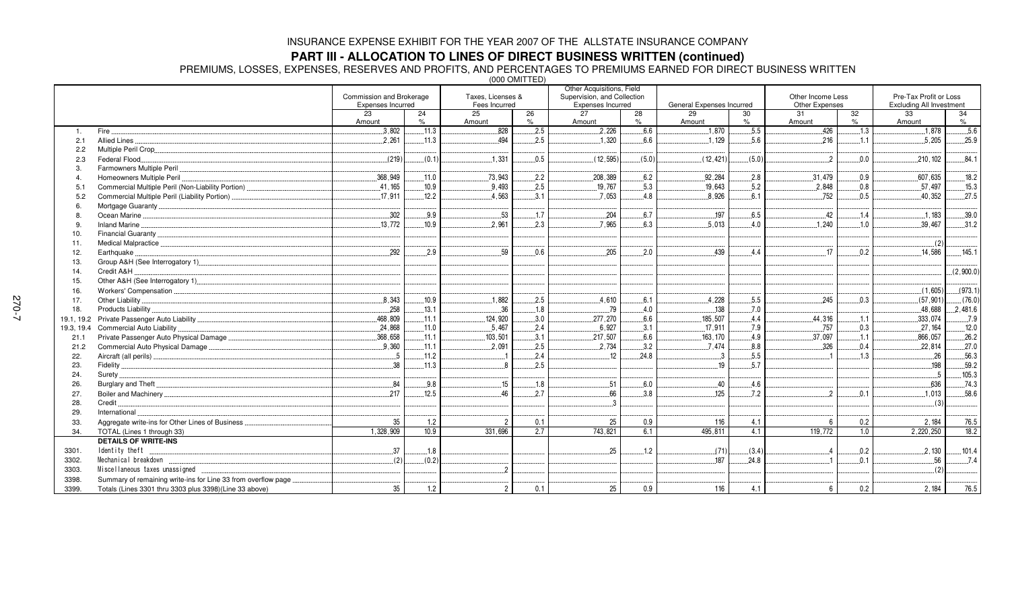### **PART III - ALLOCATION TO LINES OF DIRECT BUSINESS WRITTEN (continued)**

PREMIUMS, LOSSES, EXPENSES, RESERVES AND PROFITS, AND PERCENTAGES TO PREMIUMS EARNED FOR DIRECT BUSINESS WRITTEN

(000 OMITTED)

|                |                                                                                                                        |                          |            |                   |         | Other Acquisitions, Field   |            |                           |            |                   |                  |                          |            |
|----------------|------------------------------------------------------------------------------------------------------------------------|--------------------------|------------|-------------------|---------|-----------------------------|------------|---------------------------|------------|-------------------|------------------|--------------------------|------------|
|                |                                                                                                                        | Commission and Brokerage |            | Taxes. Licenses & |         | Supervision, and Collection |            |                           |            | Other Income Less |                  | Pre-Tax Profit or Loss   |            |
|                |                                                                                                                        | <b>Expenses Incurred</b> |            | Fees Incurred     |         | Expenses Incurred           |            | General Expenses Incurred |            | Other Expenses    |                  | Excluding All Investment |            |
|                |                                                                                                                        | 23<br>Amount             | 24<br>$\%$ | 25<br>Amount      | 26<br>% | 27<br>Amount                | 28<br>$\%$ | 29<br>Amount              | 30<br>$\%$ | 31<br>Amount      | 32<br>$\%$       | 33<br>Amount             | 34<br>$\%$ |
|                | Fire.                                                                                                                  | .3,802                   | .11.3      | .828              | .2.5    | .2,226                      | 6.6        | .1,870                    | .5.5       | .426              | .1.3             | .1,878                   | .5.6       |
| 1.<br>2.1      | Allied Lines                                                                                                           | 2.261                    | 11.3       | 494               | 2.5     | .1,320                      | 6.6        | 1.129                     | 5.6        | 216               | 1.1              | 5.205                    | 25.9       |
| 2.2            |                                                                                                                        |                          |            |                   |         |                             |            |                           |            |                   |                  |                          |            |
|                | Federal Flood.                                                                                                         | (219)                    | (0.1)      | 1.331             | 0.5     | (12, 595)                   | (5.0)      | (12, 421)                 | (5.0)      | $\overline{2}$    | 0.0              | 210.102                  | .84.1      |
| 2.3<br>3       | Farmowners Multiple Peril                                                                                              |                          |            |                   |         |                             |            |                           |            |                   |                  |                          |            |
| $\overline{4}$ | Homeowners Multiple Peril                                                                                              | .368,949                 | .11.0      | .73,943           | .2.2    | .208, 389                   | 6.2        | .92,284                   | .2.8       | .31,479           | 0.9              | .607,635                 | 18.2       |
| 5.1            |                                                                                                                        | .41,165                  | .10.9      | 9.493             | .2.5    | .19,767                     | .5.3       | .19,643                   | .5.2       | .2,848            | 0.8              | .57.497                  | .15.3      |
| 5.2            | Commercial Multiple Peril (Liability Portion)                                                                          | .17,911                  | 12.2       | 4.563             | .3.1    | .7,053                      | 4.8        | 8,926                     | 6.1        | .752              | 0.5              | 40,352                   | 27.5       |
|                |                                                                                                                        |                          |            |                   |         |                             |            |                           |            |                   |                  |                          |            |
|                | Ocean Marine <b>Maring Marine Marine Community</b> Contract to Marine Community Contract to Marine Community Community | 302                      | 9.9        | 53                | .1.7    | .204                        | 6.7        | .197                      | .6.5       | 42                | 1.4              | 1.183                    | 39.0       |
|                |                                                                                                                        |                          |            | 2.961             |         | 7.965                       | 6.3        |                           | 4.0        |                   | .1.0             |                          |            |
|                |                                                                                                                        | .13,772                  | .10.9      |                   | .2.3    |                             |            | .5,013                    |            | .1,240            |                  | .39,467                  | .31.2      |
| 10.            |                                                                                                                        |                          |            |                   |         |                             |            |                           |            |                   |                  |                          |            |
| 11.            |                                                                                                                        |                          |            |                   |         |                             |            |                           |            |                   |                  | (2)                      |            |
| 12.            | Earthquake                                                                                                             | 292                      | 2.9        | 59                | 0.6     | .205                        | 2.0        | 439                       | 4.4        | 17                | 0.2              | 14.586                   | .145.1     |
| 13.            |                                                                                                                        |                          |            |                   |         |                             |            |                           |            |                   |                  |                          |            |
| 14.            | Credit A&H                                                                                                             |                          |            |                   |         |                             |            |                           |            |                   |                  |                          | (2,900.0)  |
| 15.            | Other A&H (See Interrogatory 1)                                                                                        |                          |            |                   |         |                             |            |                           |            |                   |                  |                          |            |
| 16.            |                                                                                                                        |                          |            |                   |         |                             |            |                           |            |                   |                  | (1,605)                  | (973.1)    |
| 17.            | Other Liability                                                                                                        | 8,343                    | .10.9      | .1.882            | .2.5    | .4,610                      | .6.1       | .4,228                    | .5.5       | 245               | 0.3              | (57, 901)                | (76.0)     |
| 18.            |                                                                                                                        | .258                     | .13.1      | 36                | .1.8    | 79                          | .4.0       | .138                      | .7.0       |                   |                  | .48,688                  | .2,481.6   |
| 19.1, 19.2     |                                                                                                                        | 468.809                  | .11.1      | 124,920           | .3.0    | .277,270                    | .6.6       | 185,507                   | .4.4       | .44,316           | .1.1             | .333,074                 | .7.9       |
| 19.3, 19.4     | Commercial Auto Liability                                                                                              | 24,868                   | .11.0      | 5,467             | 2.4     | 6,927                       | 3.1        | 17,911                    | 7.9        | .757              | 0.3              | 27, 164                  | 12.0       |
| 21.1           | Private Passenger Auto Physical Damage                                                                                 | .368,658                 | .11.1      | .103,501          | .3.1    | .217,507                    | .6.6       | 163, 170                  | .4.9       | .37,097           | .1.1             | .866,057                 | 26.2       |
| 21.2           | Commercial Auto Physical Damage                                                                                        | 9.360                    | .11.1      | .2,091            | .2.5    | 2.734                       | .3.2       | .7.474                    | .8.8       | .326              | .0.4             | 22.814                   | .27.0      |
| 22.            |                                                                                                                        | $\sqrt{5}$               | $.11.2$    |                   | 2.4     | 12                          | 24.8       |                           | .5.5       |                   | 1.3              | .26                      | 56.3       |
| 23.            |                                                                                                                        | 38                       | 11.3       |                   | 2.5     |                             |            | 19                        | .5.7       |                   |                  | 198                      | .59.2      |
| 24.            | Surety                                                                                                                 |                          |            |                   |         |                             |            |                           |            |                   |                  | -5                       | 105.3      |
| 26.            |                                                                                                                        | 84                       | 9.8        | 15                | .1.8    | 51                          | 6.0        | 40                        | .4.6       |                   |                  | 636                      | .74.3      |
| 27.            |                                                                                                                        | 217                      | 12.5       | 46                | 2.7     | .66                         | 3.8        | .125                      | .7.2       | $\mathcal{P}$     | 0.1              | .1.013                   | .58.6      |
| 28.            | Credit.                                                                                                                |                          |            |                   |         |                             |            |                           |            |                   |                  | (3)                      |            |
| 29.            | International                                                                                                          |                          |            |                   |         |                             |            |                           |            |                   |                  |                          |            |
| 33.            | Aggregate write-ins for Other Lines of Business.                                                                       | 35                       | 1.2        | $\mathfrak{p}$    | 0.1     | 25                          | 0.9        | 116                       | 4.1        | 6                 | 0.2              | 2,184                    | 76.5       |
| 34.            | TOTAL (Lines 1 through 33)                                                                                             | 1,328,909                | 10.9       | 331,696           | 2.7     | 743,821                     | 6.1        | 495,811                   | 4.1        | 119,772           | $\overline{1.0}$ | 2,220,250                | 18.2       |
|                | <b>DETAILS OF WRITE-INS</b>                                                                                            |                          |            |                   |         |                             |            |                           |            |                   |                  |                          |            |
| 3301.          | Identity theft                                                                                                         | 37                       | .1.8       |                   |         | 25                          | 1.2        | (71)                      | (3.4)      | $\overline{4}$    | .0.2             | .2,130                   | .101.4     |
| 3302.          | Mechanical breakdown                                                                                                   | (2)                      | (0.2)      |                   |         |                             |            | 187                       | 24.8       |                   | 0.1              | .56                      | .7.4       |
| 3303.          | Miscellaneous taxes unassigned                                                                                         |                          |            | $\mathcal{P}$     |         |                             |            |                           |            |                   |                  | (2)                      |            |
| 3398.          | Summary of remaining write-ins for Line 33 from overflow page.                                                         |                          |            |                   |         |                             |            |                           |            |                   |                  |                          |            |
| 3399.          | Totals (Lines 3301 thru 3303 plus 3398)(Line 33 above)                                                                 | 35                       | 1.2        | $\overline{2}$    | 0.1     | 25                          | 0.9        | 116                       | 4.1        | 6                 | 0.2              | 2.184                    | 76.5       |
|                |                                                                                                                        |                          |            |                   |         |                             |            |                           |            |                   |                  |                          |            |